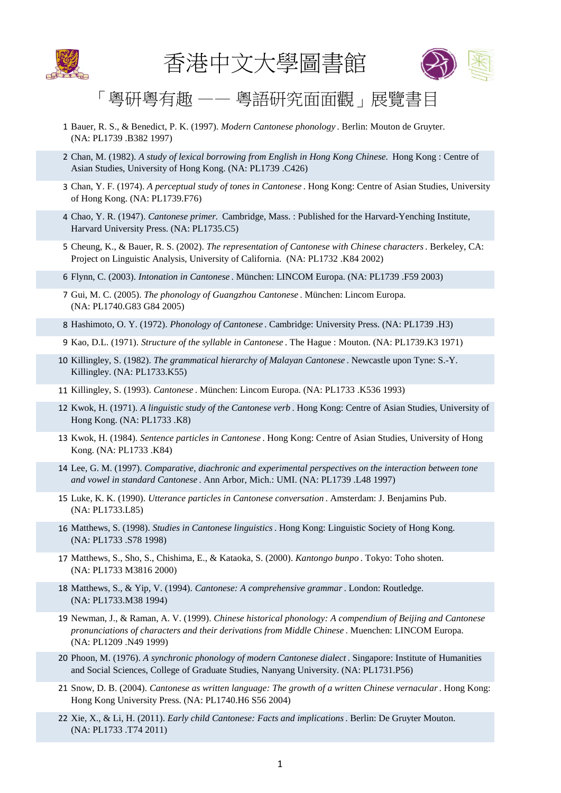



## 「粵研粵有趣 —— 粵語研究面面觀」展覽書目

- 1 Bauer, R. S., & Benedict, P. K. (1997). *Modern Cantonese phonology* . Berlin: Mouton de Gruyter. (NA: PL1739 .B382 1997)
- 2 Chan, M. (1982). *A study of lexical borrowing from English in Hong Kong Chinese.* Hong Kong : Centre of Asian Studies, University of Hong Kong. (NA: PL1739 .C426)
- 3 Chan, Y. F. (1974). *A perceptual study of tones in Cantonese* . Hong Kong: Centre of Asian Studies, University of Hong Kong. (NA: PL1739.F76)
- 4 Chao, Y. R. (1947). *Cantonese primer.* Cambridge, Mass. : Published for the Harvard-Yenching Institute, Harvard University Press. (NA: PL1735.C5)
- 5 Cheung, K., & Bauer, R. S. (2002). *The representation of Cantonese with Chinese characters*. Berkeley, CA: Project on Linguistic Analysis, University of California. (NA: PL1732 .K84 2002)
- 6 Flynn, C. (2003). *Intonation in Cantonese* . München: LINCOM Europa. (NA: PL1739 .F59 2003)
- 7 Gui, M. C. (2005). *The phonology of Guangzhou Cantonese* . München: Lincom Europa. (NA: PL1740.G83 G84 2005)
- 8 Hashimoto, O. Y. (1972). *Phonology of Cantonese* . Cambridge: University Press. (NA: PL1739 .H3)
- 9 Kao, D.L. (1971). *Structure of the syllable in Cantonese* . The Hague : Mouton. (NA: PL1739.K3 1971)
- 10 Killingley, S. (1982). *The grammatical hierarchy of Malayan Cantonese* . Newcastle upon Tyne: S.-Y. Killingley. (NA: PL1733.K55)
- 11 Killingley, S. (1993). *Cantonese* . München: Lincom Europa. (NA: PL1733 .K536 1993)
- 12 Kwok, H. (1971). *A linguistic study of the Cantonese verb* . Hong Kong: Centre of Asian Studies, University of Hong Kong. (NA: PL1733 .K8)
- 13 Kwok, H. (1984). *Sentence particles in Cantonese* . Hong Kong: Centre of Asian Studies, University of Hong Kong. (NA: PL1733 .K84)
- 14 Lee, G. M. (1997). *Comparative, diachronic and experimental perspectives on the interaction between tone and vowel in standard Cantonese* . Ann Arbor, Mich.: UMI. (NA: PL1739 .L48 1997)
- 15 Luke, K. K. (1990). *Utterance particles in Cantonese conversation* . Amsterdam: J. Benjamins Pub. (NA: PL1733.L85)
- 16 Matthews, S. (1998). *Studies in Cantonese linguistics*. Hong Kong: Linguistic Society of Hong Kong. (NA: PL1733 .S78 1998)
- 17 Matthews, S., Sho, S., Chishima, E., & Kataoka, S. (2000). *Kantongo bunpo* . Tokyo: Toho shoten. (NA: PL1733 M3816 2000)
- 18 Matthews, S., & Yip, V. (1994). *Cantonese: A comprehensive grammar*. London: Routledge. (NA: PL1733.M38 1994)
- 19 Newman, J., & Raman, A. V. (1999). *Chinese historical phonology: A compendium of Beijing and Cantonese pronunciations of characters and their derivations from Middle Chinese* . Muenchen: LINCOM Europa. (NA: PL1209 .N49 1999)
- 20 Phoon, M. (1976). *A synchronic phonology of modern Cantonese dialect* . Singapore: Institute of Humanities and Social Sciences, College of Graduate Studies, Nanyang University. (NA: PL1731.P56)
- 21 Snow, D. B. (2004). *Cantonese as written language: The growth of a written Chinese vernacular*. Hong Kong: Hong Kong University Press. (NA: PL1740.H6 S56 2004)
- 22 Xie, X., & Li, H. (2011). *Early child Cantonese: Facts and implications*. Berlin: De Gruyter Mouton. (NA: PL1733 .T74 2011)